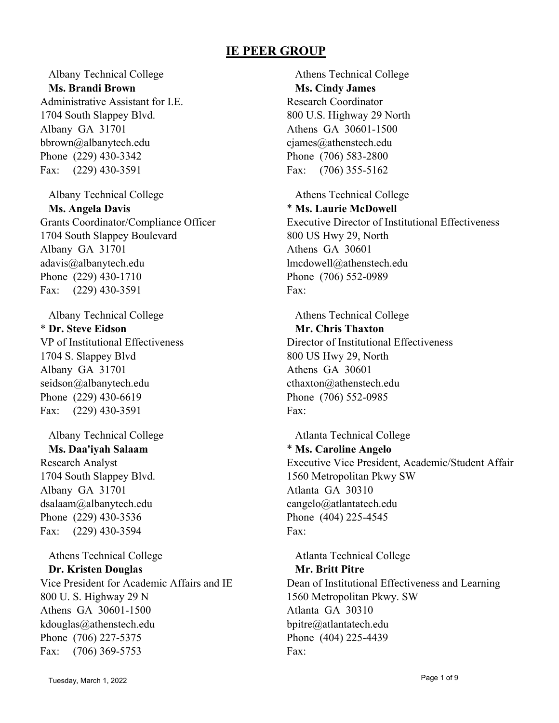Albany Technical College **Ms. Brandi Brown** Administrative Assistant for I.E. 1704 South Slappey Blvd. Albany GA 31701 bbrown@albanytech.edu Phone (229) 430-3342 Fax: (229) 430-3591

Albany Technical College **Ms. Angela Davis** Grants Coordinator/Compliance Officer 1704 South Slappey Boulevard Albany GA 31701 adavis@albanytech.edu Phone (229) 430-1710 Fax: (229) 430-3591

Albany Technical College \* **Dr. Steve Eidson** VP of Institutional Effectiveness 1704 S. Slappey Blvd Albany GA 31701 seidson@albanytech.edu Phone (229) 430-6619 Fax: (229) 430-3591

Albany Technical College **Ms. Daa'iyah Salaam** Research Analyst 1704 South Slappey Blvd. Albany GA 31701 dsalaam@albanytech.edu Phone (229) 430-3536 Fax: (229) 430-3594

Athens Technical College **Dr. Kristen Douglas** Vice President for Academic Affairs and IE 800 U. S. Highway 29 N Athens GA 30601-1500 kdouglas@athenstech.edu Phone (706) 227-5375 Fax: (706) 369-5753

Athens Technical College **Ms. Cindy James** Research Coordinator 800 U.S. Highway 29 North Athens GA 30601-1500 cjames@athenstech.edu Phone (706) 583-2800 Fax: (706) 355-5162

Athens Technical College \* **Ms. Laurie McDowell** Executive Director of Institutional Effectiveness 800 US Hwy 29, North Athens GA 30601 lmcdowell@athenstech.edu Phone (706) 552-0989 Fax:

Athens Technical College **Mr. Chris Thaxton** Director of Institutional Effectiveness 800 US Hwy 29, North Athens GA 30601 cthaxton@athenstech.edu Phone (706) 552-0985 Fax:

Atlanta Technical College \* **Ms. Caroline Angelo** Executive Vice President, Academic/Student Affair 1560 Metropolitan Pkwy SW Atlanta GA 30310 cangelo@atlantatech.edu Phone (404) 225-4545 Fax:

Atlanta Technical College **Mr. Britt Pitre** Dean of Institutional Effectiveness and Learning 1560 Metropolitan Pkwy. SW Atlanta GA 30310 bpitre@atlantatech.edu Phone (404) 225-4439 Fax: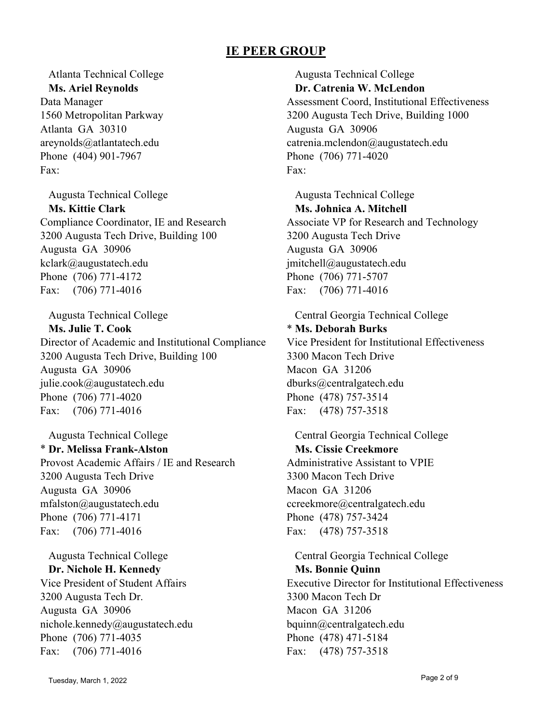Atlanta Technical College **Ms. Ariel Reynolds** Data Manager 1560 Metropolitan Parkway Atlanta GA 30310 areynolds@atlantatech.edu Phone (404) 901-7967 Fax:

Augusta Technical College **Ms. Kittie Clark** Compliance Coordinator, IE and Research 3200 Augusta Tech Drive, Building 100 Augusta GA 30906 kclark@augustatech.edu Phone (706) 771-4172 Fax: (706) 771-4016

Augusta Technical College **Ms. Julie T. Cook** Director of Academic and Institutional Compliance 3200 Augusta Tech Drive, Building 100 Augusta GA 30906 julie.cook@augustatech.edu Phone (706) 771-4020 Fax: (706) 771-4016

Augusta Technical College \* **Dr. Melissa Frank-Alston** Provost Academic Affairs / IE and Research 3200 Augusta Tech Drive Augusta GA 30906 mfalston@augustatech.edu Phone (706) 771-4171 Fax: (706) 771-4016

Augusta Technical College **Dr. Nichole H. Kennedy** Vice President of Student Affairs 3200 Augusta Tech Dr. Augusta GA 30906 nichole.kennedy@augustatech.edu Phone (706) 771-4035 Fax: (706) 771-4016

Augusta Technical College **Dr. Catrenia W. McLendon** Assessment Coord, Institutional Effectiveness 3200 Augusta Tech Drive, Building 1000 Augusta GA 30906 catrenia.mclendon@augustatech.edu Phone (706) 771-4020 Fax:

Augusta Technical College **Ms. Johnica A. Mitchell** Associate VP for Research and Technology 3200 Augusta Tech Drive Augusta GA 30906 jmitchell@augustatech.edu Phone (706) 771-5707 Fax: (706) 771-4016

Central Georgia Technical College \* **Ms. Deborah Burks** Vice President for Institutional Effectiveness 3300 Macon Tech Drive Macon GA 31206 dburks@centralgatech.edu Phone (478) 757-3514 Fax: (478) 757-3518

Central Georgia Technical College **Ms. Cissie Creekmore** Administrative Assistant to VPIE 3300 Macon Tech Drive Macon GA 31206 ccreekmore@centralgatech.edu Phone (478) 757-3424 Fax: (478) 757-3518

Central Georgia Technical College **Ms. Bonnie Quinn** Executive Director for Institutional Effectiveness 3300 Macon Tech Dr Macon GA 31206 bquinn@centralgatech.edu Phone (478) 471-5184 Fax: (478) 757-3518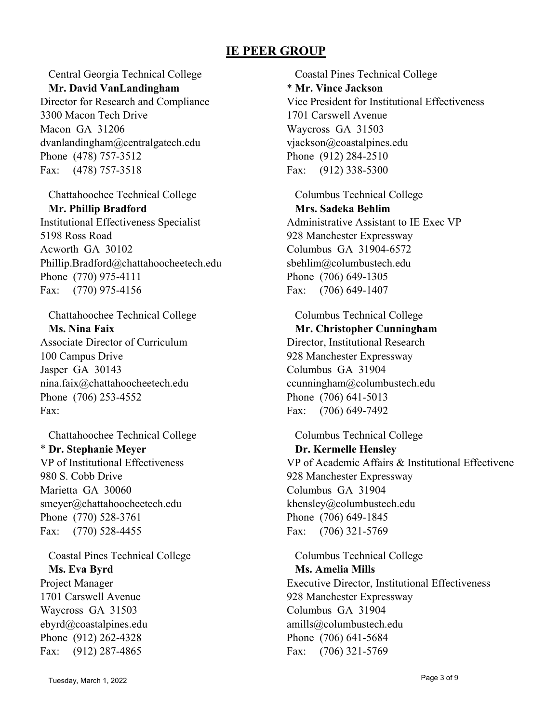Central Georgia Technical College **Mr. David VanLandingham**

Director for Research and Compliance 3300 Macon Tech Drive Macon GA 31206 dvanlandingham@centralgatech.edu Phone (478) 757-3512 Fax: (478) 757-3518

Chattahoochee Technical College **Mr. Phillip Bradford** Institutional Effectiveness Specialist 5198 Ross Road Acworth GA 30102 Phillip.Bradford@chattahoocheetech.edu Phone (770) 975-4111 Fax: (770) 975-4156

Chattahoochee Technical College **Ms. Nina Faix** Associate Director of Curriculum 100 Campus Drive Jasper GA 30143 nina.faix@chattahoocheetech.edu Phone (706) 253-4552 Fax:

Chattahoochee Technical College \* **Dr. Stephanie Meyer** VP of Institutional Effectiveness 980 S. Cobb Drive Marietta GA 30060 smeyer@chattahoocheetech.edu Phone (770) 528-3761 Fax: (770) 528-4455

Coastal Pines Technical College **Ms. Eva Byrd** Project Manager 1701 Carswell Avenue Waycross GA 31503 ebyrd@coastalpines.edu Phone (912) 262-4328 Fax: (912) 287-4865

Coastal Pines Technical College \* **Mr. Vince Jackson** Vice President for Institutional Effectiveness 1701 Carswell Avenue Waycross GA 31503 vjackson@coastalpines.edu Phone (912) 284-2510 Fax: (912) 338-5300

Columbus Technical College **Mrs. Sadeka Behlim** Administrative Assistant to IE Exec VP 928 Manchester Expressway Columbus GA 31904-6572 sbehlim@columbustech.edu Phone (706) 649-1305 Fax: (706) 649-1407

Columbus Technical College **Mr. Christopher Cunningham** Director, Institutional Research 928 Manchester Expressway Columbus GA 31904 ccunningham@columbustech.edu Phone (706) 641-5013 Fax: (706) 649-7492

Columbus Technical College **Dr. Kermelle Hensley** VP of Academic Affairs & Institutional Effectivene 928 Manchester Expressway Columbus GA 31904 khensley@columbustech.edu Phone (706) 649-1845 Fax: (706) 321-5769

Columbus Technical College **Ms. Amelia Mills** Executive Director, Institutional Effectiveness 928 Manchester Expressway Columbus GA 31904 amills@columbustech.edu Phone (706) 641-5684 Fax: (706) 321-5769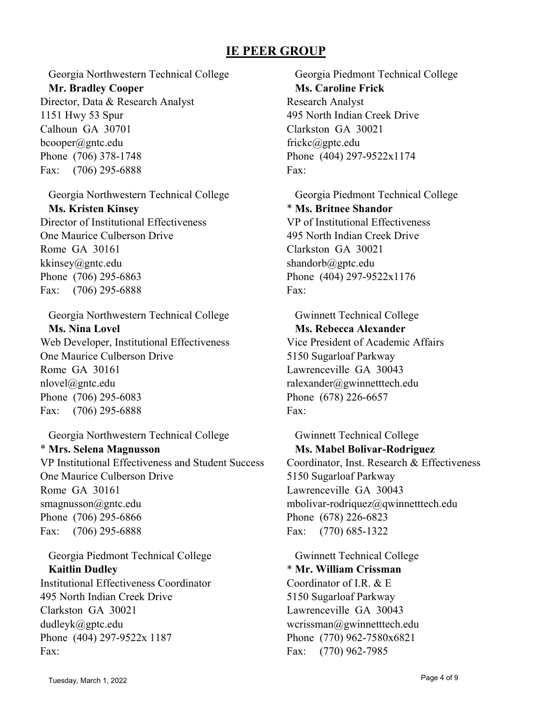Georgia Northwestern Technical College **Mr. Bradley Cooper** Director, Data & Research Analyst 1151 Hwy 53 Spur Calhoun GA 30701 bcooper@gntc.edu Phone (706) 378-1748 Fax: (706) 295-6888

Georgia Northwestern Technical College **Ms. Kristen Kinsey** Director of Institutional Effectiveness One Maurice Culberson Drive Rome GA 30161 kkinsey@gntc.edu Phone (706) 295-6863 Fax: (706) 295-6888

Georgia Northwestern Technical College **Ms. Nina Lovel** Web Developer, Institutional Effectiveness One Maurice Culberson Drive Rome GA 30161 nlovel@gntc.edu Phone (706) 295-6083 Fax: (706) 295-6888

Georgia Northwestern Technical College \* **Mrs. Selena Magnusson** VP Institutional Effectiveness and Student Success One Maurice Culberson Drive Rome GA 30161 smagnusson@gntc.edu Phone (706) 295-6866 Fax: (706) 295-6888

Georgia Piedmont Technical College **Kaitlin Dudley** Institutional Effectiveness Coordinator 495 North Indian Creek Drive Clarkston GA 30021 dudleyk@gptc.edu Phone (404) 297-9522x 1187 Fax:

Georgia Piedmont Technical College **Ms. Caroline Frick** Research Analyst 495 North Indian Creek Drive Clarkston GA 30021 frickc@gptc.edu Phone (404) 297-9522x1174 Fax:

Georgia Piedmont Technical College \* **Ms. Britnee Shandor** VP of Institutional Effectiveness 495 North Indian Creek Drive Clarkston GA 30021 shandorb@gptc.edu Phone (404) 297-9522x1176 Fax:

Gwinnett Technical College **Ms. Rebecca Alexander** Vice President of Academic Affairs 5150 Sugarloaf Parkway Lawrenceville GA 30043 ralexander@gwinnetttech.edu Phone (678) 226-6657 Fax:

Gwinnett Technical College **Ms. Mabel Bolivar-Rodriguez** Coordinator, Inst. Research & Effectiveness 5150 Sugarloaf Parkway Lawrenceville GA 30043 mbolivar-rodriquez@qwinnetttech.edu Phone (678) 226-6823 Fax: (770) 685-1322

Gwinnett Technical College \* **Mr. William Crissman** Coordinator of I.R. & E 5150 Sugarloaf Parkway Lawrenceville GA 30043 wcrissman@gwinnetttech.edu Phone (770) 962-7580x6821 Fax: (770) 962-7985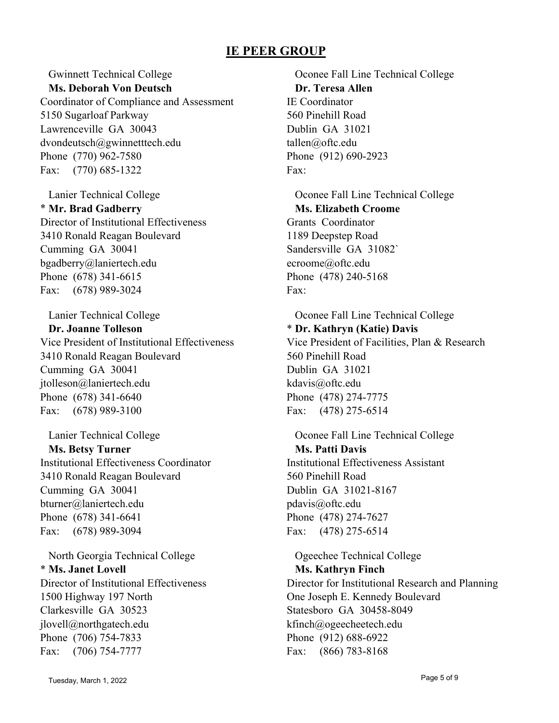Gwinnett Technical College **Ms. Deborah Von Deutsch**

Coordinator of Compliance and Assessment 5150 Sugarloaf Parkway Lawrenceville GA 30043 dvondeutsch@gwinnetttech.edu Phone (770) 962-7580 Fax: (770) 685-1322

Lanier Technical College \* **Mr. Brad Gadberry** Director of Institutional Effectiveness 3410 Ronald Reagan Boulevard Cumming GA 30041 bgadberry@laniertech.edu Phone (678) 341-6615 Fax: (678) 989-3024

Lanier Technical College **Dr. Joanne Tolleson** Vice President of Institutional Effectiveness 3410 Ronald Reagan Boulevard Cumming GA 30041 jtolleson@laniertech.edu Phone (678) 341-6640 Fax: (678) 989-3100

Lanier Technical College **Ms. Betsy Turner** Institutional Effectiveness Coordinator 3410 Ronald Reagan Boulevard Cumming GA 30041 bturner@laniertech.edu Phone (678) 341-6641 Fax: (678) 989-3094

North Georgia Technical College \* **Ms. Janet Lovell** Director of Institutional Effectiveness 1500 Highway 197 North Clarkesville GA 30523 jlovell@northgatech.edu Phone (706) 754-7833 Fax: (706) 754-7777

Oconee Fall Line Technical College **Dr. Teresa Allen** IE Coordinator 560 Pinehill Road Dublin GA 31021 tallen@oftc.edu Phone (912) 690-2923 Fax:

Oconee Fall Line Technical College **Ms. Elizabeth Croome** Grants Coordinator 1189 Deepstep Road Sandersville GA 31082` ecroome@oftc.edu Phone (478) 240-5168 Fax:

Oconee Fall Line Technical College \* **Dr. Kathryn (Katie) Davis** Vice President of Facilities, Plan & Research 560 Pinehill Road Dublin GA 31021 kdavis@oftc.edu Phone (478) 274-7775 Fax: (478) 275-6514

Oconee Fall Line Technical College **Ms. Patti Davis** Institutional Effectiveness Assistant 560 Pinehill Road Dublin GA 31021-8167 pdavis@oftc.edu Phone (478) 274-7627 Fax: (478) 275-6514

Ogeechee Technical College **Ms. Kathryn Finch** Director for Institutional Research and Planning One Joseph E. Kennedy Boulevard Statesboro GA 30458-8049 kfinch@ogeecheetech.edu Phone (912) 688-6922 Fax: (866) 783-8168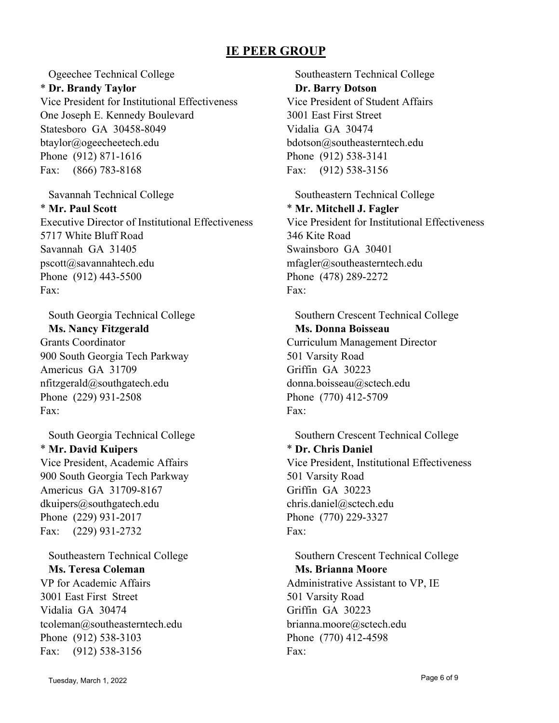Ogeechee Technical College \* **Dr. Brandy Taylor** Vice President for Institutional Effectiveness One Joseph E. Kennedy Boulevard Statesboro GA 30458-8049 btaylor@ogeecheetech.edu Phone (912) 871-1616 Fax: (866) 783-8168

Savannah Technical College \* **Mr. Paul Scott** Executive Director of Institutional Effectiveness 5717 White Bluff Road Savannah GA 31405 pscott@savannahtech.edu Phone (912) 443-5500 Fax:

South Georgia Technical College **Ms. Nancy Fitzgerald** Grants Coordinator 900 South Georgia Tech Parkway Americus GA 31709 nfitzgerald@southgatech.edu Phone (229) 931-2508 Fax:

South Georgia Technical College \* **Mr. David Kuipers** Vice President, Academic Affairs 900 South Georgia Tech Parkway Americus GA 31709-8167 dkuipers@southgatech.edu Phone (229) 931-2017 Fax: (229) 931-2732

Southeastern Technical College **Ms. Teresa Coleman** VP for Academic Affairs 3001 East First Street Vidalia GA 30474 tcoleman@southeasterntech.edu Phone (912) 538-3103 Fax: (912) 538-3156

Southeastern Technical College **Dr. Barry Dotson** Vice President of Student Affairs 3001 East First Street Vidalia GA 30474 bdotson@southeasterntech.edu Phone (912) 538-3141 Fax: (912) 538-3156

Southeastern Technical College \* **Mr. Mitchell J. Fagler** Vice President for Institutional Effectiveness 346 Kite Road Swainsboro GA 30401 mfagler@southeasterntech.edu Phone (478) 289-2272 Fax:

Southern Crescent Technical College **Ms. Donna Boisseau** Curriculum Management Director 501 Varsity Road Griffin GA 30223 donna.boisseau@sctech.edu Phone (770) 412-5709 Fax:

Southern Crescent Technical College \* **Dr. Chris Daniel** Vice President, Institutional Effectiveness 501 Varsity Road Griffin GA 30223 chris.daniel@sctech.edu Phone (770) 229-3327 Fax:

Southern Crescent Technical College **Ms. Brianna Moore** Administrative Assistant to VP, IE 501 Varsity Road Griffin GA 30223 brianna.moore@sctech.edu Phone (770) 412-4598 Fax: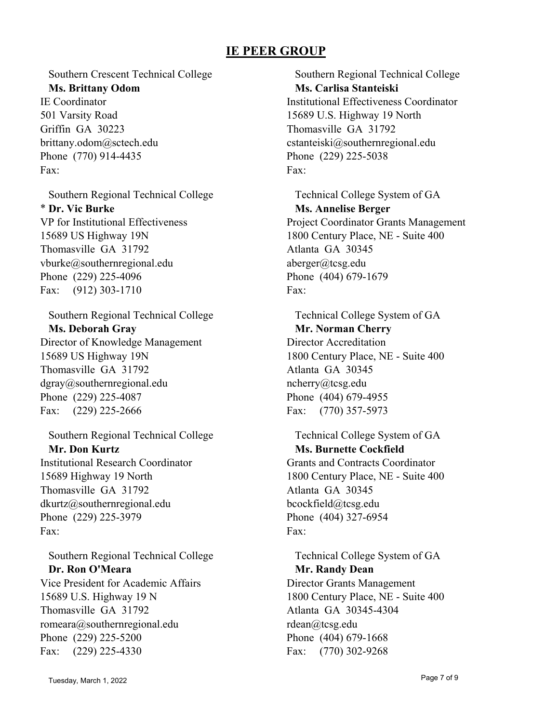Southern Crescent Technical College **Ms. Brittany Odom** IE Coordinator 501 Varsity Road Griffin GA 30223 brittany.odom@sctech.edu Phone (770) 914-4435 Fax:

Southern Regional Technical College \* **Dr. Vic Burke** VP for Institutional Effectiveness 15689 US Highway 19N Thomasville GA 31792 vburke@southernregional.edu Phone (229) 225-4096 Fax: (912) 303-1710

Southern Regional Technical College **Ms. Deborah Gray** Director of Knowledge Management 15689 US Highway 19N Thomasville GA 31792 dgray@southernregional.edu Phone (229) 225-4087 Fax: (229) 225-2666

Southern Regional Technical College **Mr. Don Kurtz** Institutional Research Coordinator 15689 Highway 19 North Thomasville GA 31792 dkurtz@southernregional.edu Phone (229) 225-3979 Fax:

Southern Regional Technical College **Dr. Ron O'Meara** Vice President for Academic Affairs 15689 U.S. Highway 19 N Thomasville GA 31792 romeara@southernregional.edu Phone (229) 225-5200 Fax: (229) 225-4330

Southern Regional Technical College **Ms. Carlisa Stanteiski** Institutional Effectiveness Coordinator 15689 U.S. Highway 19 North Thomasville GA 31792 cstanteiski@southernregional.edu Phone (229) 225-5038 Fax:

Technical College System of GA **Ms. Annelise Berger** Project Coordinator Grants Management 1800 Century Place, NE - Suite 400 Atlanta GA 30345 aberger@tcsg.edu Phone (404) 679-1679 Fax:

Technical College System of GA **Mr. Norman Cherry** Director Accreditation 1800 Century Place, NE - Suite 400 Atlanta GA 30345 ncherry@tcsg.edu Phone (404) 679-4955 Fax: (770) 357-5973

Technical College System of GA **Ms. Burnette Cockfield** Grants and Contracts Coordinator 1800 Century Place, NE - Suite 400 Atlanta GA 30345 bcockfield@tcsg.edu Phone (404) 327-6954 Fax:

Technical College System of GA **Mr. Randy Dean** Director Grants Management 1800 Century Place, NE - Suite 400 Atlanta GA 30345-4304 rdean@tcsg.edu Phone (404) 679-1668 Fax: (770) 302-9268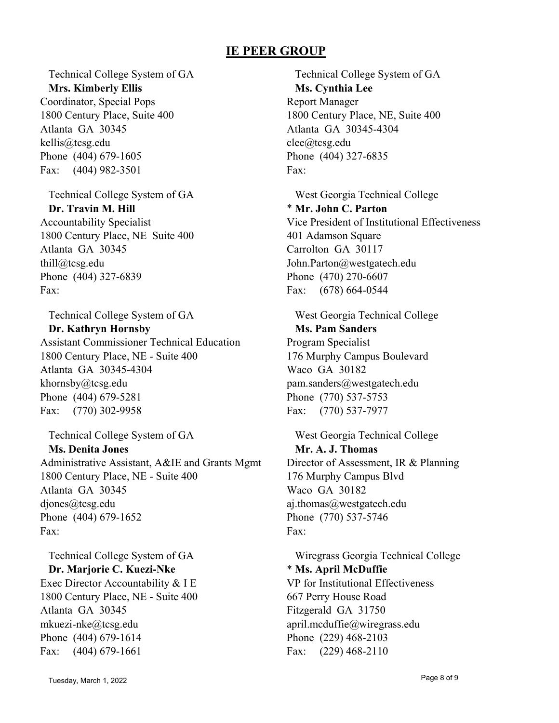Technical College System of GA **Mrs. Kimberly Ellis**

Coordinator, Special Pops 1800 Century Place, Suite 400 Atlanta GA 30345 kellis@tcsg.edu Phone (404) 679-1605 Fax: (404) 982-3501

Technical College System of GA **Dr. Travin M. Hill** Accountability Specialist 1800 Century Place, NE Suite 400 Atlanta GA 30345 thill@tcsg.edu Phone (404) 327-6839 Fax:

Technical College System of GA **Dr. Kathryn Hornsby** Assistant Commissioner Technical Education 1800 Century Place, NE - Suite 400 Atlanta GA 30345-4304 khornsby@tcsg.edu Phone (404) 679-5281 Fax: (770) 302-9958

Technical College System of GA **Ms. Denita Jones** Administrative Assistant, A&IE and Grants Mgmt 1800 Century Place, NE - Suite 400 Atlanta GA 30345 djones@tcsg.edu Phone (404) 679-1652 Fax:

Technical College System of GA **Dr. Marjorie C. Kuezi-Nke** Exec Director Accountability & I E 1800 Century Place, NE - Suite 400 Atlanta GA 30345 mkuezi-nke@tcsg.edu Phone (404) 679-1614 Fax: (404) 679-1661

Technical College System of GA **Ms. Cynthia Lee** Report Manager 1800 Century Place, NE, Suite 400 Atlanta GA 30345-4304 clee@tcsg.edu Phone (404) 327-6835 Fax:

West Georgia Technical College \* **Mr. John C. Parton** Vice President of Institutional Effectiveness 401 Adamson Square Carrolton GA 30117 John.Parton@westgatech.edu Phone (470) 270-6607 Fax: (678) 664-0544

West Georgia Technical College **Ms. Pam Sanders** Program Specialist 176 Murphy Campus Boulevard Waco GA 30182 pam.sanders@westgatech.edu Phone (770) 537-5753 Fax: (770) 537-7977

West Georgia Technical College **Mr. A. J. Thomas** Director of Assessment, IR & Planning 176 Murphy Campus Blvd Waco GA 30182 aj.thomas@westgatech.edu Phone (770) 537-5746 Fax:

Wiregrass Georgia Technical College \* **Ms. April McDuffie** VP for Institutional Effectiveness 667 Perry House Road Fitzgerald GA 31750 april.mcduffie@wiregrass.edu Phone (229) 468-2103 Fax: (229) 468-2110